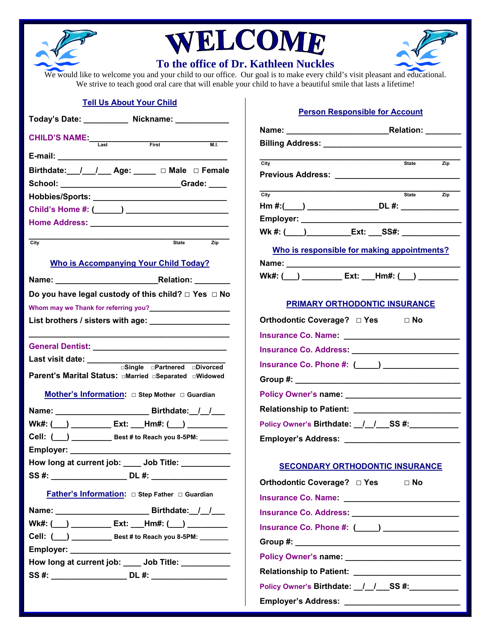

## WELCOME



## **To the office of Dr. Kathleen Nuckles**

We would like to welcome you and your child to our office. Our goal is to make every child's visit pleasant and educational. We strive to teach good oral care that will enable your child to have a beautiful smile that lasts a lifetime!

## **Tell Us About Your Child**

| Today's Date: ____________ Nickname: ____________                                     |                  |  |
|---------------------------------------------------------------------------------------|------------------|--|
| <b>CHILD'S NAME:</b><br>Last First First                                              | $\overline{M.L}$ |  |
|                                                                                       |                  |  |
| Birthdate: / / Age: DMale □ Female                                                    |                  |  |
| School: _____________________________Grade: ____                                      |                  |  |
|                                                                                       |                  |  |
|                                                                                       |                  |  |
|                                                                                       |                  |  |
| City                                                                                  | State Zip        |  |
| <b>Who is Accompanying Your Child Today?</b>                                          |                  |  |
|                                                                                       |                  |  |
| Do you have legal custody of this child? $\Box$ Yes $\Box$ No                         |                  |  |
| Whom may we Thank for referring you?<br>Mommay we Thank for referring you?            |                  |  |
| List brothers / sisters with age: __________________                                  |                  |  |
|                                                                                       |                  |  |
| Last visit date: _________                                                            |                  |  |
| □Single □Partnered □Divorced<br>Parent's Marital Status: aMarried aSeparated aWidowed |                  |  |
|                                                                                       |                  |  |
|                                                                                       |                  |  |
| Wk#: (___) ___________ Ext: ___Hm#: (___) ___________                                 |                  |  |
|                                                                                       |                  |  |
|                                                                                       |                  |  |
| How long at current job: ____ Job Title: __________                                   |                  |  |
|                                                                                       |                  |  |
|                                                                                       |                  |  |
|                                                                                       |                  |  |
| Wk#: (___) __________ Ext: ___Hm#: (___) __________                                   |                  |  |
| Cell: (___) _________________ Best # to Reach you 8-5PM: ________                     |                  |  |
|                                                                                       |                  |  |
| How long at current job: ____ Job Title: __________                                   |                  |  |
| SS #: _________________________ DL #: _____________________                           |                  |  |
|                                                                                       |                  |  |

## **Person Responsible for Account**

| Name: __________________________________Relation: _________                                                                                                                                                                          |                                  |
|--------------------------------------------------------------------------------------------------------------------------------------------------------------------------------------------------------------------------------------|----------------------------------|
| Billing Address: __________________________________                                                                                                                                                                                  |                                  |
| City<br><sub>C</sub>                                                                                                                                                                                                                 | $\overline{zip}$<br><b>State</b> |
| Previous Address: <u>_____________________________</u>                                                                                                                                                                               |                                  |
| <u>State</u>                                                                                                                                                                                                                         |                                  |
| City                                                                                                                                                                                                                                 | $\overline{zip}$                 |
| Hm #:(____) _____________________DL #: _________________                                                                                                                                                                             |                                  |
| Employer: _______________________<br>Wk #: (____)___________Ext: ___SS#: _______________                                                                                                                                             |                                  |
|                                                                                                                                                                                                                                      |                                  |
| Who is responsible for making appointments?                                                                                                                                                                                          |                                  |
| Name: _______________________                                                                                                                                                                                                        |                                  |
|                                                                                                                                                                                                                                      |                                  |
|                                                                                                                                                                                                                                      |                                  |
| PRIMARY ORTHODONTIC INSURANCE                                                                                                                                                                                                        |                                  |
| Orthodontic Coverage? □ Yes □ No                                                                                                                                                                                                     |                                  |
| Insurance Co. Name: <u>compared by a series of the series of the series of the series of the series of the series of the series of the series of the series of the series of the series of the series of the series of the serie</u> |                                  |
|                                                                                                                                                                                                                                      |                                  |
| Insurance Co. Phone #: (____) ________________                                                                                                                                                                                       |                                  |
|                                                                                                                                                                                                                                      |                                  |
|                                                                                                                                                                                                                                      |                                  |
| Relationship to Patient: _________________________                                                                                                                                                                                   |                                  |
| Policy Owner's Birthdate: _/_/__SS #:__________                                                                                                                                                                                      |                                  |
| Employer's Address: __________________________                                                                                                                                                                                       |                                  |
|                                                                                                                                                                                                                                      |                                  |
| <b>SECONDARY ORTHODONTIC INSURANCE</b>                                                                                                                                                                                               |                                  |
| Orthodontic Coverage? □ Yes □ No                                                                                                                                                                                                     |                                  |
| <u>Insurance Co. Name: ____________________________</u>                                                                                                                                                                              |                                  |
|                                                                                                                                                                                                                                      |                                  |
| Insurance Co. Phone #: (____) _________________                                                                                                                                                                                      |                                  |
|                                                                                                                                                                                                                                      |                                  |
| Policy Owner's name: ____________________________                                                                                                                                                                                    |                                  |
| Relationship to Patient: ________________________                                                                                                                                                                                    |                                  |
| Policy Owner's Birthdate: _/_/___SS #:__________                                                                                                                                                                                     |                                  |
|                                                                                                                                                                                                                                      |                                  |
|                                                                                                                                                                                                                                      |                                  |